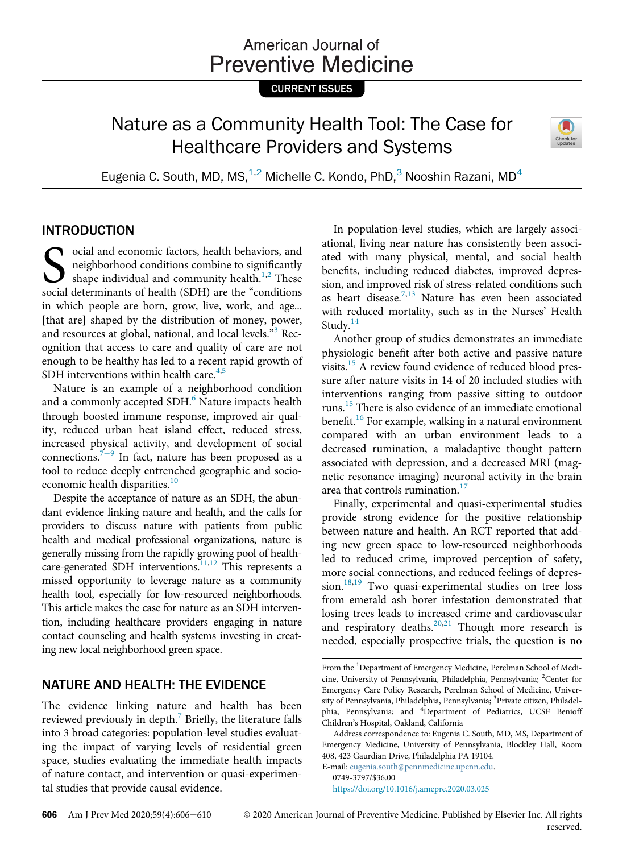# American Journal of **Preventive Medicine**

CURRENT ISSUES

# Nature as a Community Health Tool: The Case for Healthcare Providers and Systems



Eugenia C. South, MD, MS, $^{1,2}$  Michelle C. Kondo, PhD, $^3$  Nooshin Razani, MD<sup>4</sup>

## INTRODUCTION

Social and economic factors, health behaviors, and<br>neighborhood conditions combine to significantly<br>shape individual and community health.<sup>1,2</sup> These<br>social determinants of health (SDH) are the "conditions neighborhood conditions combine to significantly shape individual and community health.<sup>1,[2](#page-3-1)</sup> These social determinants of health (SDH) are the "conditions in which people are born, grow, live, work, and age... [that are] shaped by the distribution of money, power, and resources at global, national, and local levels."<sup>[3](#page-3-2)</sup> Recognition that access to care and quality of care are not enough to be healthy has led to a recent rapid growth of SDH interventions within health care. $4,5$  $4,5$ 

Nature is an example of a neighborhood condition and a commonly accepted SDH.<sup>[6](#page-3-5)</sup> Nature impacts health through boosted immune response, improved air quality, reduced urban heat island effect, reduced stress, increased physical activity, and development of social connections.<sup>7[−](#page-3-6)9</sup> In fact, nature has been proposed as a tool to reduce deeply entrenched geographic and socio-economic health disparities.<sup>[10](#page-3-7)</sup>

Despite the acceptance of nature as an SDH, the abundant evidence linking nature and health, and the calls for providers to discuss nature with patients from public health and medical professional organizations, nature is generally missing from the rapidly growing pool of health-care-generated SDH interventions.<sup>11,[12](#page-3-9)</sup> This represents a missed opportunity to leverage nature as a community health tool, especially for low-resourced neighborhoods. This article makes the case for nature as an SDH intervention, including healthcare providers engaging in nature contact counseling and health systems investing in creating new local neighborhood green space.

## NATURE AND HEALTH: THE EVIDENCE

The evidence linking nature and health has been reviewed previously in depth.<sup>[7](#page-3-6)</sup> Briefly, the literature falls into 3 broad categories: population-level studies evaluating the impact of varying levels of residential green space, studies evaluating the immediate health impacts of nature contact, and intervention or quasi-experimental studies that provide causal evidence.

In population-level studies, which are largely associational, living near nature has consistently been associated with many physical, mental, and social health benefits, including reduced diabetes, improved depression, and improved risk of stress-related conditions such as heart disease.<sup>[7,](#page-3-6)[13](#page-3-10)</sup> Nature has even been associated with reduced mortality, such as in the Nurses' Health Study.<sup>[14](#page-3-11)</sup>

Another group of studies demonstrates an immediate physiologic benefit after both active and passive nature visits.[15](#page-3-12) A review found evidence of reduced blood pressure after nature visits in 14 of 20 included studies with interventions ranging from passive sitting to outdoor runs.[15](#page-3-12) There is also evidence of an immediate emotional benefit.<sup>[16](#page-3-13)</sup> For example, walking in a natural environment compared with an urban environment leads to a decreased rumination, a maladaptive thought pattern associated with depression, and a decreased MRI (magnetic resonance imaging) neuronal activity in the brain area that controls rumination.<sup>[17](#page-3-14)</sup>

Finally, experimental and quasi-experimental studies provide strong evidence for the positive relationship between nature and health. An RCT reported that adding new green space to low-resourced neighborhoods led to reduced crime, improved perception of safety, more social connections, and reduced feelings of depres-sion.<sup>[18](#page-3-15)[,19](#page-3-16)</sup> Two quasi-experimental studies on tree loss from emerald ash borer infestation demonstrated that losing trees leads to increased crime and cardiovascular and respiratory deaths. $20,21$  $20,21$  Though more research is needed, especially prospective trials, the question is no

E-mail: [eugenia.south@pennmedicine.upenn.edu.](mailto:eugenia.south@pennmedicine.upenn.edu) 0749-3797/\$36.00

<https://doi.org/10.1016/j.amepre.2020.03.025>

reserved.

From the <sup>1</sup>Department of Emergency Medicine, Perelman School of Medicine, University of Pennsylvania, Philadelphia, Pennsylvania; <sup>2</sup>Center for Emergency Care Policy Research, Perelman School of Medicine, University of Pennsylvania, Philadelphia, Pennsylvania; <sup>3</sup>Private citizen, Philadelphia, Pennsylvania; and <sup>4</sup>Department of Pediatrics, UCSF Benioff Children's Hospital, Oakland, California

Address correspondence to: Eugenia C. South, MD, MS, Department of Emergency Medicine, University of Pennsylvania, Blockley Hall, Room 408, 423 Gaurdian Drive, Philadelphia PA 19104.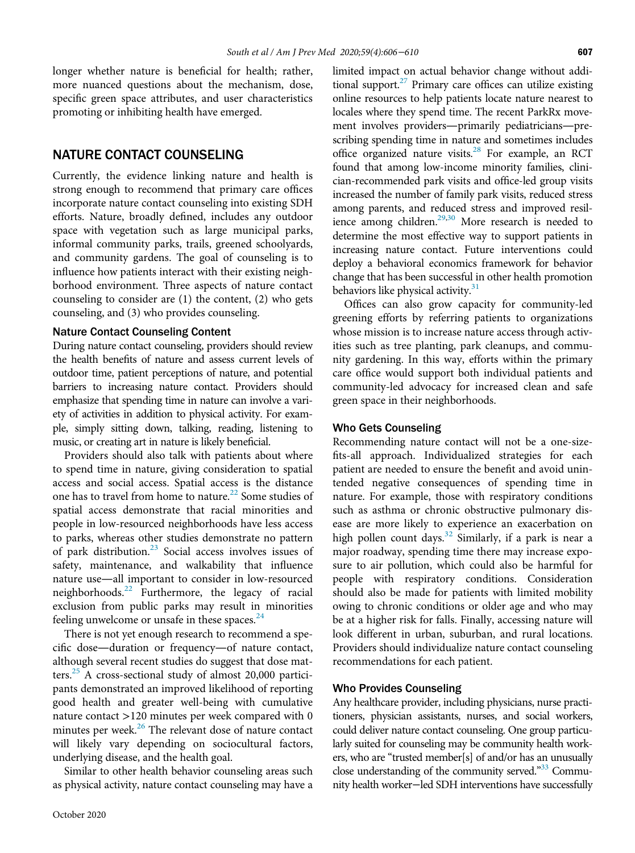longer whether nature is beneficial for health; rather, more nuanced questions about the mechanism, dose, specific green space attributes, and user characteristics promoting or inhibiting health have emerged.

## NATURE CONTACT COUNSELING

Currently, the evidence linking nature and health is strong enough to recommend that primary care offices incorporate nature contact counseling into existing SDH efforts. Nature, broadly defined, includes any outdoor space with vegetation such as large municipal parks, informal community parks, trails, greened schoolyards, and community gardens. The goal of counseling is to influence how patients interact with their existing neighborhood environment. Three aspects of nature contact counseling to consider are (1) the content, (2) who gets counseling, and (3) who provides counseling.

#### Nature Contact Counseling Content

During nature contact counseling, providers should review the health benefits of nature and assess current levels of outdoor time, patient perceptions of nature, and potential barriers to increasing nature contact. Providers should emphasize that spending time in nature can involve a variety of activities in addition to physical activity. For example, simply sitting down, talking, reading, listening to music, or creating art in nature is likely beneficial.

Providers should also talk with patients about where to spend time in nature, giving consideration to spatial access and social access. Spatial access is the distance one has to travel from home to nature.<sup>[22](#page-3-19)</sup> Some studies of spatial access demonstrate that racial minorities and people in low-resourced neighborhoods have less access to parks, whereas other studies demonstrate no pattern of park distribution.[23](#page-3-20) Social access involves issues of safety, maintenance, and walkability that influence nature use—all important to consider in low-resourced neighborhoods.[22](#page-3-19) Furthermore, the legacy of racial exclusion from public parks may result in minorities feeling unwelcome or unsafe in these spaces. $24$ 

There is not yet enough research to recommend a specific dose—duration or frequency—of nature contact, although several recent studies do suggest that dose matters.<sup>25</sup> A cross-sectional study of almost 20,000 participants demonstrated an improved likelihood of reporting good health and greater well-being with cumulative nature contact >120 minutes per week compared with 0 minutes per week.<sup>[26](#page-3-23)</sup> The relevant dose of nature contact will likely vary depending on sociocultural factors, underlying disease, and the health goal.

Similar to other health behavior counseling areas such as physical activity, nature contact counseling may have a

limited impact on actual behavior change without additional support. $27$  Primary care offices can utilize existing online resources to help patients locate nature nearest to locales where they spend time. The recent ParkRx movement involves providers—primarily pediatricians—prescribing spending time in nature and sometimes includes office organized nature visits.<sup>28</sup> For example, an RCT found that among low-income minority families, clinician-recommended park visits and office-led group visits increased the number of family park visits, reduced stress among parents, and reduced stress and improved resil-ience among children.<sup>29,[30](#page-3-27)</sup> More research is needed to determine the most effective way to support patients in increasing nature contact. Future interventions could deploy a behavioral economics framework for behavior change that has been successful in other health promotion behaviors like physical activity.<sup>[31](#page-3-28)</sup>

Offices can also grow capacity for community-led greening efforts by referring patients to organizations whose mission is to increase nature access through activities such as tree planting, park cleanups, and community gardening. In this way, efforts within the primary care office would support both individual patients and community-led advocacy for increased clean and safe green space in their neighborhoods.

#### Who Gets Counseling

Recommending nature contact will not be a one-sizefits-all approach. Individualized strategies for each patient are needed to ensure the benefit and avoid unintended negative consequences of spending time in nature. For example, those with respiratory conditions such as asthma or chronic obstructive pulmonary disease are more likely to experience an exacerbation on high pollen count days.<sup>[32](#page-3-29)</sup> Similarly, if a park is near a major roadway, spending time there may increase exposure to air pollution, which could also be harmful for people with respiratory conditions. Consideration should also be made for patients with limited mobility owing to chronic conditions or older age and who may be at a higher risk for falls. Finally, accessing nature will look different in urban, suburban, and rural locations. Providers should individualize nature contact counseling recommendations for each patient.

#### Who Provides Counseling

Any healthcare provider, including physicians, nurse practitioners, physician assistants, nurses, and social workers, could deliver nature contact counseling. One group particularly suited for counseling may be community health workers, who are "trusted member[s] of and/or has an unusually close understanding of the community served."<sup>[33](#page-3-30)</sup> Community health worker−led SDH interventions have successfully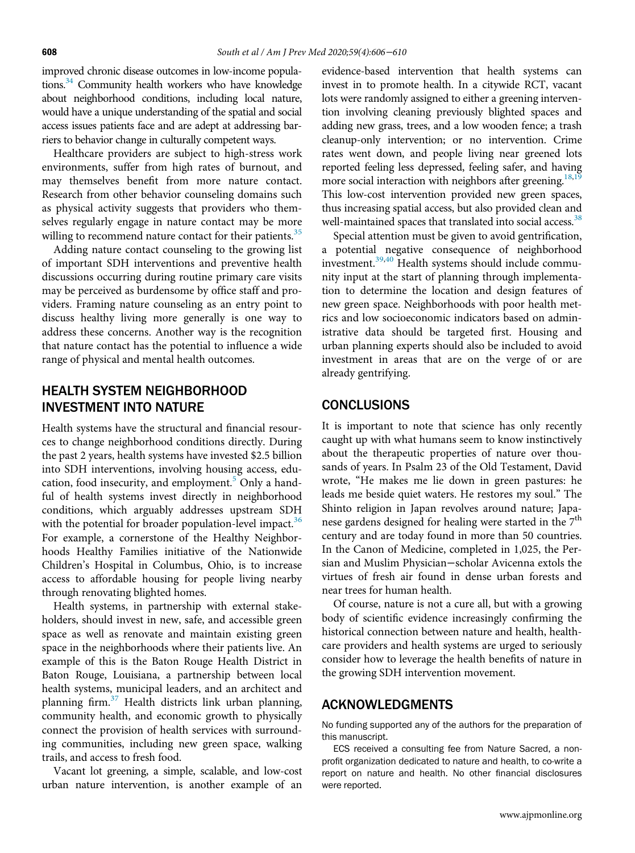improved chronic disease outcomes in low-income populations.<sup>34</sup> Community health workers who have knowledge about neighborhood conditions, including local nature, would have a unique understanding of the spatial and social access issues patients face and are adept at addressing barriers to behavior change in culturally competent ways.

Healthcare providers are subject to high-stress work environments, suffer from high rates of burnout, and may themselves benefit from more nature contact. Research from other behavior counseling domains such as physical activity suggests that providers who themselves regularly engage in nature contact may be more willing to recommend nature contact for their patients. $35$ 

Adding nature contact counseling to the growing list of important SDH interventions and preventive health discussions occurring during routine primary care visits may be perceived as burdensome by office staff and providers. Framing nature counseling as an entry point to discuss healthy living more generally is one way to address these concerns. Another way is the recognition that nature contact has the potential to influence a wide range of physical and mental health outcomes.

## HEALTH SYSTEM NEIGHBORHOOD INVESTMENT INTO NATURE

Health systems have the structural and financial resources to change neighborhood conditions directly. During the past 2 years, health systems have invested \$2.5 billion into SDH interventions, involving housing access, edu-cation, food insecurity, and employment.<sup>[5](#page-3-4)</sup> Only a handful of health systems invest directly in neighborhood conditions, which arguably addresses upstream SDH with the potential for broader population-level impact.<sup>[36](#page-3-33)</sup> For example, a cornerstone of the Healthy Neighborhoods Healthy Families initiative of the Nationwide Children's Hospital in Columbus, Ohio, is to increase access to affordable housing for people living nearby through renovating blighted homes.

Health systems, in partnership with external stakeholders, should invest in new, safe, and accessible green space as well as renovate and maintain existing green space in the neighborhoods where their patients live. An example of this is the Baton Rouge Health District in Baton Rouge, Louisiana, a partnership between local health systems, municipal leaders, and an architect and planning firm.<sup>[37](#page-4-0)</sup> Health districts link urban planning, community health, and economic growth to physically connect the provision of health services with surrounding communities, including new green space, walking trails, and access to fresh food.

Vacant lot greening, a simple, scalable, and low-cost urban nature intervention, is another example of an

evidence-based intervention that health systems can invest in to promote health. In a citywide RCT, vacant lots were randomly assigned to either a greening intervention involving cleaning previously blighted spaces and adding new grass, trees, and a low wooden fence; a trash cleanup-only intervention; or no intervention. Crime rates went down, and people living near greened lots reported feeling less depressed, feeling safer, and having more social interaction with neighbors after greening.<sup>[18](#page-3-15),[19](#page-3-16)</sup> This low-cost intervention provided new green spaces, thus increasing spatial access, but also provided clean and well-maintained spaces that translated into social access.<sup>[38](#page-4-1)</sup>

Special attention must be given to avoid gentrification, a potential negative consequence of neighborhood investment.[39](#page-4-2),[40](#page-4-3) Health systems should include community input at the start of planning through implementation to determine the location and design features of new green space. Neighborhoods with poor health metrics and low socioeconomic indicators based on administrative data should be targeted first. Housing and urban planning experts should also be included to avoid investment in areas that are on the verge of or are already gentrifying.

### CONCLUSIONS

It is important to note that science has only recently caught up with what humans seem to know instinctively about the therapeutic properties of nature over thousands of years. In Psalm 23 of the Old Testament, David wrote, "He makes me lie down in green pastures: he leads me beside quiet waters. He restores my soul." The Shinto religion in Japan revolves around nature; Japanese gardens designed for healing were started in the  $7<sup>th</sup>$ century and are today found in more than 50 countries. In the Canon of Medicine, completed in 1,025, the Persian and Muslim Physician−scholar Avicenna extols the virtues of fresh air found in dense urban forests and near trees for human health.

Of course, nature is not a cure all, but with a growing body of scientific evidence increasingly confirming the historical connection between nature and health, healthcare providers and health systems are urged to seriously consider how to leverage the health benefits of nature in the growing SDH intervention movement.

#### ACKNOWLEDGMENTS

No funding supported any of the authors for the preparation of this manuscript.

ECS received a consulting fee from Nature Sacred, a nonprofit organization dedicated to nature and health, to co-write a report on nature and health. No other financial disclosures were reported.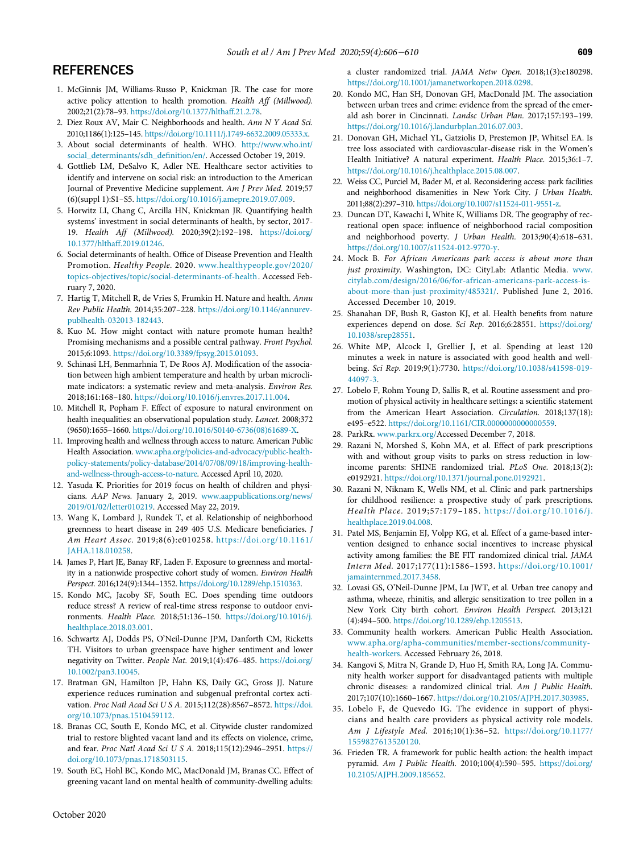## <span id="page-3-0"></span>**REFERENCES**

- <span id="page-3-17"></span>1. McGinnis JM, Williams-Russo P, Knickman JR. The case for more active policy attention to health promotion. Health Aff (Millwood). 2002;21(2):78–93. [https://doi.org/10.1377/hlthaff.21.2.78.](https://doi.org/10.1377/hlthaff.21.2.78)
- <span id="page-3-1"></span>2. Diez Roux AV, Mair C. Neighborhoods and health. Ann N Y Acad Sci. 2010;1186(1):125–145. <https://doi.org/10.1111/j.1749-6632.2009.05333.x>.
- <span id="page-3-18"></span><span id="page-3-2"></span>3. About social determinants of health. WHO. [http://www.who.int/](http://www.who.int/social_determinants/sdh_definition/en/) [social\\_determinants/sdh\\_de](http://www.who.int/social_determinants/sdh_definition/en/)finition/en/. Accessed October 19, 2019.
- <span id="page-3-19"></span><span id="page-3-3"></span>4. Gottlieb LM, DeSalvo K, Adler NE. Healthcare sector activities to identify and intervene on social risk: an introduction to the American Journal of Preventive Medicine supplement. Am J Prev Med. 2019;57 (6)(suppl 1):S1–S5. [https://doi.org/10.1016/j.amepre.2019.07.009.](https://doi.org/10.1016/j.amepre.2019.07.009)
- <span id="page-3-20"></span><span id="page-3-4"></span>5. Horwitz LI, Chang C, Arcilla HN, Knickman JR. Quantifying health systems' investment in social determinants of health, by sector, 2017- 19. Health Aff (Millwood). 2020;39(2):192–198. [https://doi.org/](https://doi.org/10.1377/hlthaff.2019.01246) [10.1377/hlthaff.2019.01246](https://doi.org/10.1377/hlthaff.2019.01246).
- <span id="page-3-21"></span><span id="page-3-5"></span>6. Social determinants of health. Office of Disease Prevention and Health Promotion. Healthy People. 2020. [www.healthypeople.gov/2020/](http://www.healthypeople.gov/2020/topics-objectives/topic/social-determinants-of-health) [topics-objectives/topic/social-determinants-of-health](http://www.healthypeople.gov/2020/topics-objectives/topic/social-determinants-of-health). Accessed February 7, 2020.
- <span id="page-3-22"></span><span id="page-3-6"></span>7. Hartig T, Mitchell R, de Vries S, Frumkin H. Nature and health. Annu Rev Public Health. 2014;35:207–228. [https://doi.org/10.1146/annurev](https://doi.org/10.1146/annurev-publhealth-032013-182443)[publhealth-032013-182443.](https://doi.org/10.1146/annurev-publhealth-032013-182443)
- <span id="page-3-23"></span>8. Kuo M. How might contact with nature promote human health? Promising mechanisms and a possible central pathway. Front Psychol. 2015;6:1093. [https://doi.org/10.3389/fpsyg.2015.01093.](https://doi.org/10.3389/fpsyg.2015.01093)
- 9. Schinasi LH, Benmarhnia T, De Roos AJ. Modification of the association between high ambient temperature and health by urban microclimate indicators: a systematic review and meta-analysis. Environ Res. 2018;161:168–180. <https://doi.org/10.1016/j.envres.2017.11.004>.
- <span id="page-3-24"></span><span id="page-3-7"></span>10. Mitchell R, Popham F. Effect of exposure to natural environment on health inequalities: an observational population study. Lancet. 2008;372 (9650):1655–1660. [https://doi.org/10.1016/S0140-6736\(08\)61689-X](https://doi.org/10.1016/S0140-6736(08)61689-X).
- <span id="page-3-26"></span><span id="page-3-25"></span><span id="page-3-8"></span>11. Improving health and wellness through access to nature. American Public Health Association. [www.apha.org/policies-and-advocacy/public-health](http://www.apha.org/policies-and-advocacy/public-health-policy-statements/policy-database/2014/07/08/09/18/improving-health-and-wellness-through-access-to-nature)[policy-statements/policy-database/2014/07/08/09/18/improving-health](http://www.apha.org/policies-and-advocacy/public-health-policy-statements/policy-database/2014/07/08/09/18/improving-health-and-wellness-through-access-to-nature)[and-wellness-through-access-to-nature.](http://www.apha.org/policies-and-advocacy/public-health-policy-statements/policy-database/2014/07/08/09/18/improving-health-and-wellness-through-access-to-nature) Accessed April 10, 2020.
- <span id="page-3-27"></span><span id="page-3-9"></span>12. Yasuda K. Priorities for 2019 focus on health of children and physicians. AAP News. January 2, 2019. [www.aappublications.org/news/](http://www.aappublications.org/news/2019/01/02/letter010219) [2019/01/02/letter010219.](http://www.aappublications.org/news/2019/01/02/letter010219) Accessed May 22, 2019.
- <span id="page-3-28"></span><span id="page-3-10"></span>13. Wang K, Lombard J, Rundek T, et al. Relationship of neighborhood greenness to heart disease in 249 405 U.S. Medicare beneficiaries. J Am Heart Assoc. 2019;8(6):e010258. [https://doi.org/10.1161/](https://doi.org/10.1161/JAHA.118.010258) [JAHA.118.010258.](https://doi.org/10.1161/JAHA.118.010258)
- <span id="page-3-11"></span>14. James P, Hart JE, Banay RF, Laden F. Exposure to greenness and mortality in a nationwide prospective cohort study of women. Environ Health Perspect. 2016;124(9):1344–1352. [https://doi.org/10.1289/ehp.1510363.](https://doi.org/10.1289/ehp.1510363)
- <span id="page-3-29"></span><span id="page-3-12"></span>15. Kondo MC, Jacoby SF, South EC. Does spending time outdoors reduce stress? A review of real-time stress response to outdoor environments. Health Place. 2018;51:136–150. [https://doi.org/10.1016/j.](https://doi.org/10.1016/j.healthplace.2018.03.001) [healthplace.2018.03.001.](https://doi.org/10.1016/j.healthplace.2018.03.001)
- <span id="page-3-30"></span><span id="page-3-13"></span>16. Schwartz AJ, Dodds PS, O'Neil-Dunne JPM, Danforth CM, Ricketts TH. Visitors to urban greenspace have higher sentiment and lower negativity on Twitter. People Nat. 2019;1(4):476–485. [https://doi.org/](https://doi.org/10.1002/pan3.10045) [10.1002/pan3.10045](https://doi.org/10.1002/pan3.10045).
- <span id="page-3-31"></span><span id="page-3-14"></span>17. Bratman GN, Hamilton JP, Hahn KS, Daily GC, Gross JJ. Nature experience reduces rumination and subgenual prefrontal cortex activation. Proc Natl Acad Sci U S A. 2015;112(28):8567-8572. [https://doi.](https://doi.org/10.1073/pnas.1510459112) [org/10.1073/pnas.1510459112](https://doi.org/10.1073/pnas.1510459112).
- <span id="page-3-32"></span><span id="page-3-15"></span>18. Branas CC, South E, Kondo MC, et al. Citywide cluster randomized trial to restore blighted vacant land and its effects on violence, crime, and fear. Proc Natl Acad Sci U S A. 2018;115(12):2946–2951. [https://](https://doi.org/10.1073/pnas.1718503115) [doi.org/10.1073/pnas.1718503115](https://doi.org/10.1073/pnas.1718503115).
- <span id="page-3-33"></span><span id="page-3-16"></span>19. South EC, Hohl BC, Kondo MC, MacDonald JM, Branas CC. Effect of greening vacant land on mental health of community-dwelling adults:

a cluster randomized trial. JAMA Netw Open. 2018;1(3):e180298. <https://doi.org/10.1001/jamanetworkopen.2018.0298>.

- 20. Kondo MC, Han SH, Donovan GH, MacDonald JM. The association between urban trees and crime: evidence from the spread of the emerald ash borer in Cincinnati. Landsc Urban Plan. 2017;157:193–199. [https://doi.org/10.1016/j.landurbplan.2016.07.003.](https://doi.org/10.1016/j.landurbplan.2016.07.003)
- 21. Donovan GH, Michael YL, Gatziolis D, Prestemon JP, Whitsel EA. Is tree loss associated with cardiovascular-disease risk in the Women's Health Initiative? A natural experiment. Health Place. 2015;36:1–7. [https://doi.org/10.1016/j.healthplace.2015.08.007.](https://doi.org/10.1016/j.healthplace.2015.08.007)
- 22. Weiss CC, Purciel M, Bader M, et al. Reconsidering access: park facilities and neighborhood disamenities in New York City. J Urban Health. 2011;88(2):297–310. <https://doi.org/10.1007/s11524-011-9551-z>.
- 23. Duncan DT, Kawachi I, White K, Williams DR. The geography of recreational open space: influence of neighborhood racial composition and neighborhood poverty. J Urban Health. 2013;90(4):618–631. <https://doi.org/10.1007/s11524-012-9770-y>.
- 24. Mock B. For African Americans park access is about more than just proximity. Washington, DC: CityLab: Atlantic Media. [www.](https://www.citylab.com/design/2016/06/for-african-americans-park-access-is-about-more-than-just-proximity/485321/) [citylab.com/design/2016/06/for-african-americans-park-access-is](https://www.citylab.com/design/2016/06/for-african-americans-park-access-is-about-more-than-just-proximity/485321/)[about-more-than-just-proximity/485321/.](https://www.citylab.com/design/2016/06/for-african-americans-park-access-is-about-more-than-just-proximity/485321/) Published June 2, 2016. Accessed December 10, 2019.
- 25. Shanahan DF, Bush R, Gaston KJ, et al. Health benefits from nature experiences depend on dose. Sci Rep. 2016;6:28551. [https://doi.org/](https://doi.org/10.1038/srep28551) [10.1038/srep28551.](https://doi.org/10.1038/srep28551)
- 26. White MP, Alcock I, Grellier J, et al. Spending at least 120 minutes a week in nature is associated with good health and wellbeing. Sci Rep. 2019;9(1):7730. [https://doi.org/10.1038/s41598-019-](https://doi.org/10.1038/s41598-019-44097-3) [44097-3.](https://doi.org/10.1038/s41598-019-44097-3)
- 27. Lobelo F, Rohm Young D, Sallis R, et al. Routine assessment and promotion of physical activity in healthcare settings: a scientific statement from the American Heart Association. Circulation. 2018;137(18): e495–e522. <https://doi.org/10.1161/CIR.0000000000000559>.
- 28. ParkRx. [www.parkrx.org/](http://www.parkrx.org/)Accessed December 7, 2018.
- 29. Razani N, Morshed S, Kohn MA, et al. Effect of park prescriptions with and without group visits to parks on stress reduction in lowincome parents: SHINE randomized trial. PLoS One. 2018;13(2): e0192921. <https://doi.org/10.1371/journal.pone.0192921>.
- 30. Razani N, Niknam K, Wells NM, et al. Clinic and park partnerships for childhood resilience: a prospective study of park prescriptions. Health Place. 2019;57:179–185. [https://doi.org/10.1016/j.](https://doi.org/10.1016/j.healthplace.2019.04.008) [healthplace.2019.04.008.](https://doi.org/10.1016/j.healthplace.2019.04.008)
- 31. Patel MS, Benjamin EJ, Volpp KG, et al. Effect of a game-based intervention designed to enhance social incentives to increase physical activity among families: the BE FIT randomized clinical trial. JAMA Intern Med. 2017;177(11):1586–1593. [https://doi.org/10.1001/](https://doi.org/10.1001/jamainternmed.2017.3458) [jamainternmed.2017.3458.](https://doi.org/10.1001/jamainternmed.2017.3458)
- 32. Lovasi GS, O'Neil-Dunne JPM, Lu JWT, et al. Urban tree canopy and asthma, wheeze, rhinitis, and allergic sensitization to tree pollen in a New York City birth cohort. Environ Health Perspect. 2013;121 (4):494–500. <https://doi.org/10.1289/ehp.1205513>.
- 33. Community health workers. American Public Health Association. [www.apha.org/apha-communities/member-sections/community](http://www.apha.org/apha-communities/member-sections/community-health-workers)[health-workers](http://www.apha.org/apha-communities/member-sections/community-health-workers). Accessed February 26, 2018.
- 34. Kangovi S, Mitra N, Grande D, Huo H, Smith RA, Long JA. Community health worker support for disadvantaged patients with multiple chronic diseases: a randomized clinical trial. Am J Public Health. 2017;107(10):1660–1667. <https://doi.org/10.2105/AJPH.2017.303985>.
- 35. Lobelo F, de Quevedo IG. The evidence in support of physicians and health care providers as physical activity role models. Am J Lifestyle Med. 2016;10(1):36–52. [https://doi.org/10.1177/](https://doi.org/10.1177/1559827613520120) [1559827613520120](https://doi.org/10.1177/1559827613520120).
- 36. Frieden TR. A framework for public health action: the health impact pyramid. Am J Public Health. 2010;100(4):590–595. [https://doi.org/](https://doi.org/10.2105/AJPH.2009.185652) [10.2105/AJPH.2009.185652.](https://doi.org/10.2105/AJPH.2009.185652)